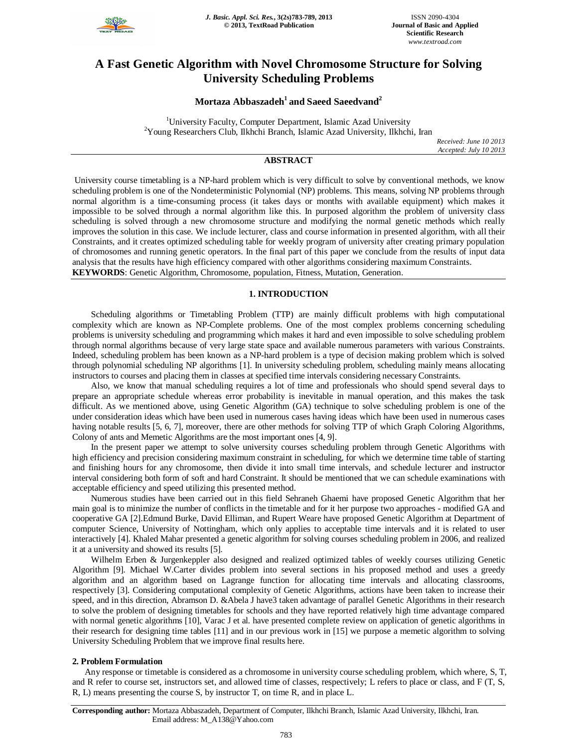

# **A Fast Genetic Algorithm with Novel Chromosome Structure for Solving University Scheduling Problems**

# **Mortaza Abbaszadeh<sup>1</sup>and Saeed Saeedvand<sup>2</sup>**

<sup>1</sup>University Faculty, Computer Department, Islamic Azad University  $2$ Young Researchers Club, Ilkhchi Branch, Islamic Azad University, Ilkhchi, Iran

*Received: June 10 2013 Accepted: July 10 2013*

# **ABSTRACT**

University course timetabling is a NP-hard problem which is very difficult to solve by conventional methods, we know scheduling problem is one of the Nondeterministic Polynomial (NP) problems. This means, solving NP problems through normal algorithm is a time-consuming process (it takes days or months with available equipment) which makes it impossible to be solved through a normal algorithm like this. In purposed algorithm the problem of university class scheduling is solved through a new chromosome structure and modifying the normal genetic methods which really improves the solution in this case. We include lecturer, class and course information in presented algorithm, with all their Constraints, and it creates optimized scheduling table for weekly program of university after creating primary population of chromosomes and running genetic operators. In the final part of this paper we conclude from the results of input data analysis that the results have high efficiency compared with other algorithms considering maximum Constraints. **KEYWORDS**: Genetic Algorithm, Chromosome, population, Fitness, Mutation, Generation.

# **1. INTRODUCTION**

Scheduling algorithms or Timetabling Problem (TTP) are mainly difficult problems with high computational complexity which are known as NP-Complete problems. One of the most complex problems concerning scheduling problems is university scheduling and programming which makes it hard and even impossible to solve scheduling problem through normal algorithms because of very large state space and available numerous parameters with various Constraints. Indeed, scheduling problem has been known as a NP-hard problem is a type of decision making problem which is solved through polynomial scheduling NP algorithms [1]. In university scheduling problem, scheduling mainly means allocating instructors to courses and placing them in classes at specified time intervals considering necessary Constraints.

Also, we know that manual scheduling requires a lot of time and professionals who should spend several days to prepare an appropriate schedule whereas error probability is inevitable in manual operation, and this makes the task difficult. As we mentioned above, using Genetic Algorithm (GA) technique to solve scheduling problem is one of the under consideration ideas which have been used in numerous cases having ideas which have been used in numerous cases having notable results [5, 6, 7], moreover, there are other methods for solving TTP of which Graph Coloring Algorithms, Colony of ants and Memetic Algorithms are the most important ones [4, 9].

In the present paper we attempt to solve university courses scheduling problem through Genetic Algorithms with high efficiency and precision considering maximum constraint in scheduling, for which we determine time table of starting and finishing hours for any chromosome, then divide it into small time intervals, and schedule lecturer and instructor interval considering both form of soft and hard Constraint. It should be mentioned that we can schedule examinations with acceptable efficiency and speed utilizing this presented method.

Numerous studies have been carried out in this field Sehraneh Ghaemi have proposed Genetic Algorithm that her main goal is to minimize the number of conflicts in the timetable and for it her purpose two approaches - modified GA and cooperative GA [2].Edmund Burke, David Elliman, and Rupert Weare have proposed Genetic Algorithm at Department of computer Science, University of Nottingham, which only applies to acceptable time intervals and it is related to user interactively [4]. Khaled Mahar presented a genetic algorithm for solving courses scheduling problem in 2006, and realized it at a university and showed its results [5].

Wilhelm Erben & Jurgenkeppler also designed and realized optimized tables of weekly courses utilizing Genetic Algorithm [9]. Michael W.Carter divides problem into several sections in his proposed method and uses a greedy algorithm and an algorithm based on Lagrange function for allocating time intervals and allocating classrooms, respectively [3]. Considering computational complexity of Genetic Algorithms, actions have been taken to increase their speed, and in this direction, Abramson D. &Abela J have3 taken advantage of parallel Genetic Algorithms in their research to solve the problem of designing timetables for schools and they have reported relatively high time advantage compared with normal genetic algorithms [10], Varac J et al. have presented complete review on application of genetic algorithms in their research for designing time tables [11] and in our previous work in [15] we purpose a memetic algorithm to solving University Scheduling Problem that we improve final results here.

# **2. Problem Formulation**

Any response or timetable is considered as a chromosome in university course scheduling problem, which where, S, T, and R refer to course set, instructors set, and allowed time of classes, respectively; L refers to place or class, and F (T, S, R, L) means presenting the course S, by instructor T, on time R, and in place L.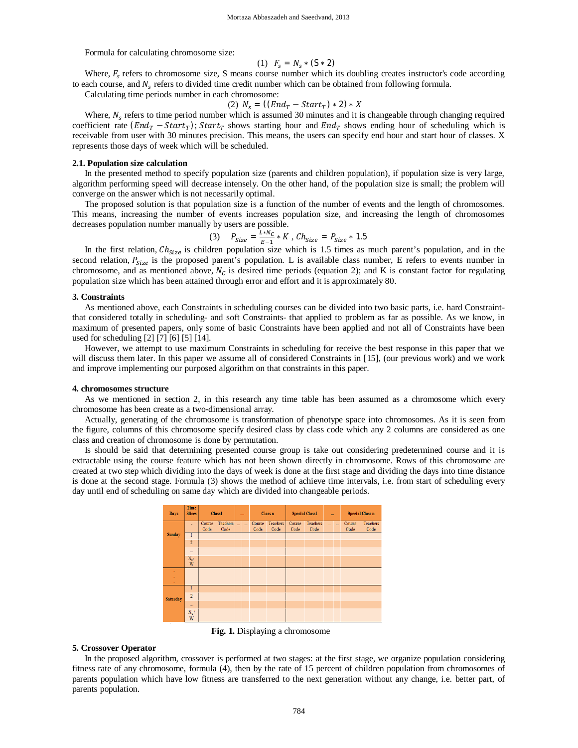Formula for calculating chromosome size:

(1) 
$$
F_s = N_s * (S * 2)
$$

Where,  $F_s$  refers to chromosome size, S means course number which its doubling creates instructor's code according to each course, and  $N_s$  refers to divided time credit number which can be obtained from following formula.

Calculating time periods number in each chromosome:

$$
(2) Ns = ((EndT - StartT) * 2) * X
$$

Where,  $N_s$  refers to time period number which is assumed 30 minutes and it is changeable through changing required coefficient rate  $(End_T - Start_T)$ ;  $Start_T$  shows starting hour and  $End_T$  shows ending hour of scheduling which is receivable from user with 30 minutes precision. This means, the users can specify end hour and start hour of classes. X represents those days of week which will be scheduled.

#### **2.1. Population size calculation**

In the presented method to specify population size (parents and children population), if population size is very large, algorithm performing speed will decrease intensely. On the other hand, of the population size is small; the problem will converge on the answer which is not necessarily optimal.

The proposed solution is that population size is a function of the number of events and the length of chromosomes. This means, increasing the number of events increases population size, and increasing the length of chromosomes decreases population number manually by users are possible.

(3) 
$$
P_{Size} = \frac{L*N_C}{E-1} * K
$$
,  $Ch_{Size} = P_{Size} * 1.5$ 

In the first relation,  $Ch_{Size}$  is children population size which is 1.5 times as much parent's population, and in the second relation,  $P_{size}$  is the proposed parent's population. L is available class number, E refers to events number in chromosome, and as mentioned above,  $N_c$  is desired time periods (equation 2); and K is constant factor for regulating population size which has been attained through error and effort and it is approximately 80.

#### **3. Constraints**

As mentioned above, each Constraints in scheduling courses can be divided into two basic parts, i.e. hard Constraintthat considered totally in scheduling- and soft Constraints- that applied to problem as far as possible. As we know, in maximum of presented papers, only some of basic Constraints have been applied and not all of Constraints have been used for scheduling [2] [7] [6] [5] [14].

However, we attempt to use maximum Constraints in scheduling for receive the best response in this paper that we will discuss them later. In this paper we assume all of considered Constraints in [15], (our previous work) and we work and improve implementing our purposed algorithm on that constraints in this paper.

#### **4. chromosomes structure**

As we mentioned in section 2, in this research any time table has been assumed as a chromosome which every chromosome has been create as a two-dimensional array.

Actually, generating of the chromosome is transformation of phenotype space into chromosomes. As it is seen from the figure, columns of this chromosome specify desired class by class code which any 2 columns are considered as one class and creation of chromosome is done by permutation.

Is should be said that determining presented course group is take out considering predetermined course and it is extractable using the course feature which has not been shown directly in chromosome. Rows of this chromosome are created at two step which dividing into the days of week is done at the first stage and dividing the days into time distance is done at the second stage. Formula (3) shows the method of achieve time intervals, i.e. from start of scheduling every day until end of scheduling on same day which are divided into changeable periods.



**Fig. 1.** Displaying a chromosome

# **5. Crossover Operator**

In the proposed algorithm, crossover is performed at two stages: at the first stage, we organize population considering fitness rate of any chromosome, formula (4), then by the rate of 15 percent of children population from chromosomes of parents population which have low fitness are transferred to the next generation without any change, i.e. better part, of parents population.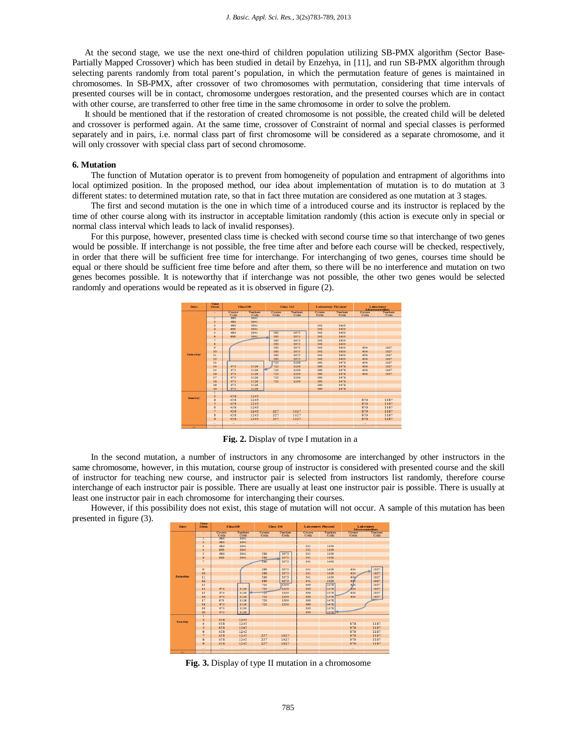At the second stage, we use the next one-third of children population utilizing SB-PMX algorithm (Sector Base-Partially Mapped Crossover) which has been studied in detail by Enzehya, in [11], and run SB-PMX algorithm through selecting parents randomly from total parent's population, in which the permutation feature of genes is maintained in chromosomes. In SB-PMX, after crossover of two chromosomes with permutation, considering that time intervals of presented courses will be in contact, chromosome undergoes restoration, and the presented courses which are in contact with other course, are transferred to other free time in the same chromosome in order to solve the problem.

It should be mentioned that if the restoration of created chromosome is not possible, the created child will be deleted and crossover is performed again. At the same time, crossover of Constraint of normal and special classes is performed separately and in pairs, i.e. normal class part of first chromosome will be considered as a separate chromosome, and it will only crossover with special class part of second chromosome.

#### **6. Mutation**

The function of Mutation operator is to prevent from homogeneity of population and entrapment of algorithms into local optimized position. In the proposed method, our idea about implementation of mutation is to do mutation at 3 different states: to determined mutation rate, so that in fact three mutation are considered as one mutation at 3 stages.

The first and second mutation is the one in which time of a introduced course and its instructor is replaced by the time of other course along with its instructor in acceptable limitation randomly (this action is execute only in special or normal class interval which leads to lack of invalid responses).

For this purpose, however, presented class time is checked with second course time so that interchange of two genes would be possible. If interchange is not possible, the free time after and before each course will be checked, respectively, in order that there will be sufficient free time for interchange. For interchanging of two genes, courses time should be equal or there should be sufficient free time before and after them, so there will be no interference and mutation on two genes becomes possible. It is noteworthy that if interchange was not possible, the other two genes would be selected randomly and operations would be repeated as it is observed in figure (2).



**Fig. 2.** Display of type I mutation in a

In the second mutation, a number of instructors in any chromosome are interchanged by other instructors in the same chromosome, however, in this mutation, course group of instructor is considered with presented course and the skill of instructor for teaching new course, and instructor pair is selected from instructors list randomly, therefore course interchange of each instructor pair is possible. There are usually at least one instructor pair is possible. There is usually at least one instructor pair in each chromosome for interchanging their courses.

However, if this possibility does not exist, this stage of mutation will not occur. A sample of this mutation has been presented in figure (3).



**Fig. 3.** Display of type II mutation in a chromosome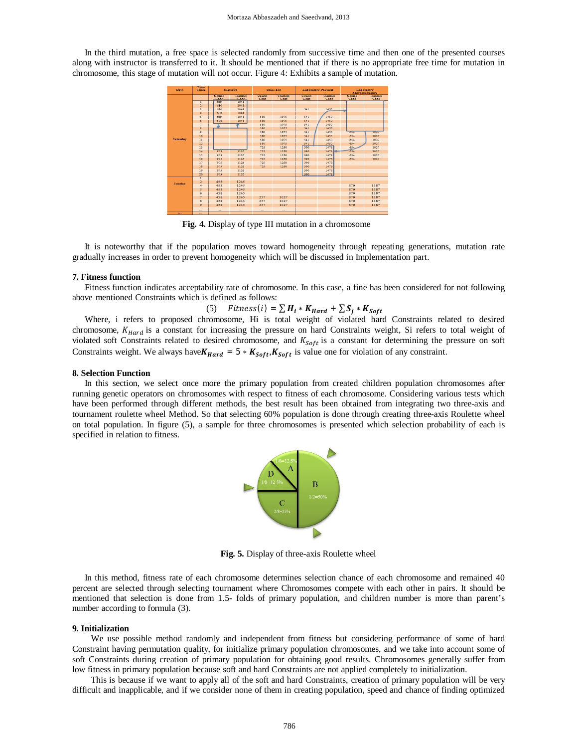In the third mutation, a free space is selected randomly from successive time and then one of the presented courses along with instructor is transferred to it. It should be mentioned that if there is no appropriate free time for mutation in chromosome, this stage of mutation will not occur. Figure 4: Exhibits a sample of mutation.

| Days            | Time<br><b>Slices</b>   | <b>Class100</b> |                  | <b>Class 110</b> |                  | <b>Laboratory Physical</b> |                  | Laboratory<br><b>Microcontrollers</b> |                  |
|-----------------|-------------------------|-----------------|------------------|------------------|------------------|----------------------------|------------------|---------------------------------------|------------------|
|                 | ٠                       | Course<br>Code  | Teachers<br>Code | Course<br>Code   | Teachers<br>Code | Course<br>Code             | Teachers<br>Code | Course<br>Code                        | Teachers<br>Code |
| <b>Saturday</b> |                         | 680             | 1041             |                  |                  |                            |                  |                                       |                  |
|                 | $\overline{2}$          | 680             | 1041             |                  |                  |                            |                  |                                       |                  |
|                 | $\overline{3}$          | 680             | 1041             |                  |                  | 541                        | 1450             |                                       |                  |
|                 | 4                       | 680             | 1041             |                  |                  |                            |                  |                                       |                  |
|                 | 3                       | 680             | 1041             | 580              | 1075             | 541                        | 1450             |                                       |                  |
|                 | $\ddot{\circ}$          | 680             | 1041             | 580              | 1075             | 541                        | 1450             |                                       |                  |
|                 | $\overline{\tau}$       |                 |                  | 580              | 1075             | 541                        | 1450             |                                       |                  |
|                 | s                       |                 |                  | 580              | 1075             | 541                        | 1450             |                                       |                  |
|                 | $\mathbf{Q}$            |                 |                  | 580              | 1075             | 541                        | 1450             | 0.54                                  | <b>ROAN</b>      |
|                 | 10                      |                 |                  | 580              | 1075             | 541                        | 1450             | 654                                   | 1027             |
|                 | 11                      |                 |                  | 580              | 1075             | 541                        | 1450             | 654                                   | 1027             |
|                 | 12                      |                 |                  | 580              | 1075             | 541                        | 1450             | 654                                   | 1027             |
|                 | 13                      |                 |                  | 725              | 1250             | 390                        | 1478             | 654                                   | 1027             |
|                 | 14                      | 975             | 1126             | 725              | 1250             | 390                        | 1478             | 654                                   | 1027             |
|                 | 15                      | 975             | 1126             | 725              | 1250             | 390                        | 1478             | 654                                   | 1027             |
|                 | 16                      | 975             | 1126             | 725              | 1250             | 390                        | 1478             | 654                                   | 1027             |
|                 | 17                      | 975             | 1126             | 725              | 1250             | 390                        | 1478             |                                       |                  |
|                 | 18                      | 975             | 1126             | 725              | 1250             | 390                        | 1478             |                                       |                  |
|                 | 19                      | 975             | 1126             |                  |                  | 390                        | 1478             |                                       |                  |
|                 | 20                      | 975             | 1126             |                  |                  | 390                        | 1478             |                                       |                  |
| <b>Sunday</b>   | τ                       |                 |                  |                  |                  |                            |                  |                                       |                  |
|                 | $\overline{2}$          | 458             | 1245             |                  |                  |                            |                  |                                       |                  |
|                 | $\overline{4}$          | 458             | 1245             |                  |                  |                            |                  | 870                                   | 1187             |
|                 | $\overline{5}$          | 458             | 1245             |                  |                  |                            |                  | 870                                   | 1187             |
|                 | $\overline{6}$          | 458             | 1245             |                  |                  |                            |                  | 870                                   | 1187             |
|                 | $\overline{\tau}$       | 458             | 1245             | 257              | 1027             |                            |                  | 870                                   | 1187             |
|                 | $\overline{\mathbf{8}}$ | 458             | 1245             | 257              | 1027             |                            |                  | 870                                   | 1187             |
|                 | 9                       | 458             | 1245             | 257              | 1027             |                            |                  | 870                                   | 1187             |
|                 | $\cdots$                | 100             | $\cdots$         | 122              | $\cdots$         |                            |                  | $\cdots$                              |                  |

**Fig. 4.** Display of type III mutation in a chromosome

It is noteworthy that if the population moves toward homogeneity through repeating generations, mutation rate gradually increases in order to prevent homogeneity which will be discussed in Implementation part.

#### **7. Fitness function**

Fitness function indicates acceptability rate of chromosome. In this case, a fine has been considered for not following above mentioned Constraints which is defined as follows:

(5) 
$$
Fitness(i) = \sum H_i * K_{Hard} + \sum S_j * K_{Soft}
$$

Where, i refers to proposed chromosome, Hi is total weight of violated hard Constraints related to desired chromosome,  $K_{Hard}$  is a constant for increasing the pressure on hard Constraints weight, Si refers to total weight of violated soft Constraints related to desired chromosome, and  $K_{Soft}$  is a constant for determining the pressure on soft Constraints weight. We always have  $K_{Hard} = 5 * K_{Soft}, K_{Soft}$  is value one for violation of any constraint.

#### **8. Selection Function**

In this section, we select once more the primary population from created children population chromosomes after running genetic operators on chromosomes with respect to fitness of each chromosome. Considering various tests which have been performed through different methods, the best result has been obtained from integrating two three-axis and tournament roulette wheel Method. So that selecting 60% population is done through creating three-axis Roulette wheel on total population. In figure (5), a sample for three chromosomes is presented which selection probability of each is specified in relation to fitness.



**Fig. 5.** Display of three-axis Roulette wheel

In this method, fitness rate of each chromosome determines selection chance of each chromosome and remained 40 percent are selected through selecting tournament where Chromosomes compete with each other in pairs. It should be mentioned that selection is done from 1.5- folds of primary population, and children number is more than parent's number according to formula (3).

### **9. Initialization**

We use possible method randomly and independent from fitness but considering performance of some of hard Constraint having permutation quality, for initialize primary population chromosomes, and we take into account some of soft Constraints during creation of primary population for obtaining good results. Chromosomes generally suffer from low fitness in primary population because soft and hard Constraints are not applied completely to initialization.

This is because if we want to apply all of the soft and hard Constraints, creation of primary population will be very difficult and inapplicable, and if we consider none of them in creating population, speed and chance of finding optimized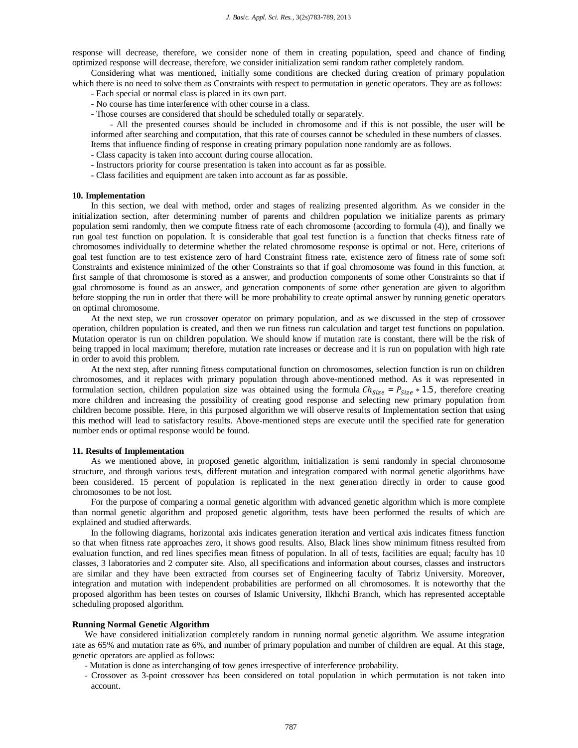response will decrease, therefore, we consider none of them in creating population, speed and chance of finding optimized response will decrease, therefore, we consider initialization semi random rather completely random.

Considering what was mentioned, initially some conditions are checked during creation of primary population which there is no need to solve them as Constraints with respect to permutation in genetic operators. They are as follows:

- Each special or normal class is placed in its own part.
- No course has time interference with other course in a class.
- Those courses are considered that should be scheduled totally or separately.

- All the presented courses should be included in chromosome and if this is not possible, the user will be informed after searching and computation, that this rate of courses cannot be scheduled in these numbers of classes.

- Items that influence finding of response in creating primary population none randomly are as follows.
- Class capacity is taken into account during course allocation.
- Instructors priority for course presentation is taken into account as far as possible.
- Class facilities and equipment are taken into account as far as possible.

#### **10. Implementation**

In this section, we deal with method, order and stages of realizing presented algorithm. As we consider in the initialization section, after determining number of parents and children population we initialize parents as primary population semi randomly, then we compute fitness rate of each chromosome (according to formula (4)), and finally we run goal test function on population. It is considerable that goal test function is a function that checks fitness rate of chromosomes individually to determine whether the related chromosome response is optimal or not. Here, criterions of goal test function are to test existence zero of hard Constraint fitness rate, existence zero of fitness rate of some soft Constraints and existence minimized of the other Constraints so that if goal chromosome was found in this function, at first sample of that chromosome is stored as a answer, and production components of some other Constraints so that if goal chromosome is found as an answer, and generation components of some other generation are given to algorithm before stopping the run in order that there will be more probability to create optimal answer by running genetic operators on optimal chromosome.

At the next step, we run crossover operator on primary population, and as we discussed in the step of crossover operation, children population is created, and then we run fitness run calculation and target test functions on population. Mutation operator is run on children population. We should know if mutation rate is constant, there will be the risk of being trapped in local maximum; therefore, mutation rate increases or decrease and it is run on population with high rate in order to avoid this problem.

At the next step, after running fitness computational function on chromosomes, selection function is run on children chromosomes, and it replaces with primary population through above-mentioned method. As it was represented in formulation section, children population size was obtained using the formula  $Ch_{Size} = P_{Size} * 1.5$ , therefore creating more children and increasing the possibility of creating good response and selecting new primary population from children become possible. Here, in this purposed algorithm we will observe results of Implementation section that using this method will lead to satisfactory results. Above-mentioned steps are execute until the specified rate for generation number ends or optimal response would be found.

# **11. Results of Implementation**

As we mentioned above, in proposed genetic algorithm, initialization is semi randomly in special chromosome structure, and through various tests, different mutation and integration compared with normal genetic algorithms have been considered. 15 percent of population is replicated in the next generation directly in order to cause good chromosomes to be not lost.

For the purpose of comparing a normal genetic algorithm with advanced genetic algorithm which is more complete than normal genetic algorithm and proposed genetic algorithm, tests have been performed the results of which are explained and studied afterwards.

In the following diagrams, horizontal axis indicates generation iteration and vertical axis indicates fitness function so that when fitness rate approaches zero, it shows good results. Also, Black lines show minimum fitness resulted from evaluation function, and red lines specifies mean fitness of population. In all of tests, facilities are equal; faculty has 10 classes, 3 laboratories and 2 computer site. Also, all specifications and information about courses, classes and instructors are similar and they have been extracted from courses set of Engineering faculty of Tabriz University. Moreover, integration and mutation with independent probabilities are performed on all chromosomes. It is noteworthy that the proposed algorithm has been testes on courses of Islamic University, Ilkhchi Branch, which has represented acceptable scheduling proposed algorithm.

#### **Running Normal Genetic Algorithm**

We have considered initialization completely random in running normal genetic algorithm. We assume integration rate as 65% and mutation rate as 6%, and number of primary population and number of children are equal. At this stage, genetic operators are applied as follows:

- Mutation is done as interchanging of tow genes irrespective of interference probability.
- Crossover as 3-point crossover has been considered on total population in which permutation is not taken into account.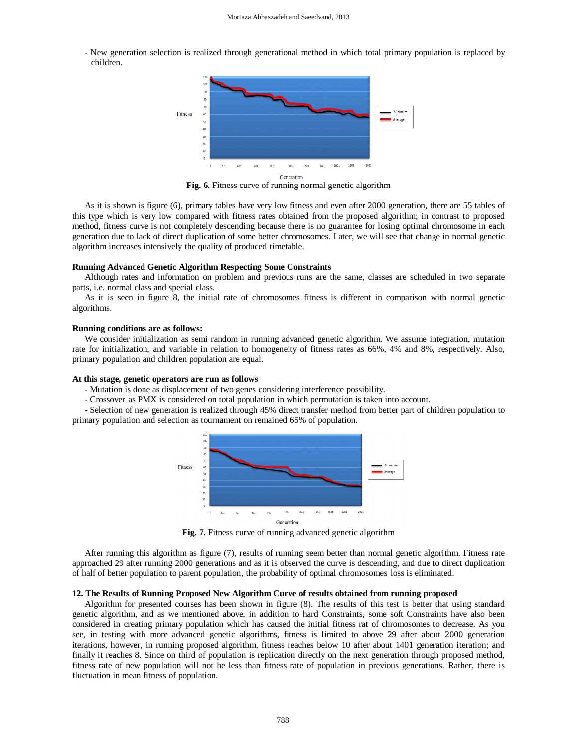- New generation selection is realized through generational method in which total primary population is replaced by children.



**Fig. 6.** Fitness curve of running normal genetic algorithm

As it is shown is figure (6), primary tables have very low fitness and even after 2000 generation, there are 55 tables of this type which is very low compared with fitness rates obtained from the proposed algorithm; in contrast to proposed method, fitness curve is not completely descending because there is no guarantee for losing optimal chromosome in each generation due to lack of direct duplication of some better chromosomes. Later, we will see that change in normal genetic algorithm increases intensively the quality of produced timetable.

# **Running Advanced Genetic Algorithm Respecting Some Constraints**

Although rates and information on problem and previous runs are the same, classes are scheduled in two separate parts, i.e. normal class and special class.

As it is seen in figure 8, the initial rate of chromosomes fitness is different in comparison with normal genetic algorithms.

#### **Running conditions are as follows:**

We consider initialization as semi random in running advanced genetic algorithm. We assume integration, mutation rate for initialization, and variable in relation to homogeneity of fitness rates as 66%, 4% and 8%, respectively. Also, primary population and children population are equal.

# **At this stage, genetic operators are run as follows**

- Mutation is done as displacement of two genes considering interference possibility.

- Crossover as PMX is considered on total population in which permutation is taken into account.

- Selection of new generation is realized through 45% direct transfer method from better part of children population to primary population and selection as tournament on remained 65% of population.



**Fig. 7.** Fitness curve of running advanced genetic algorithm

After running this algorithm as figure (7), results of running seem better than normal genetic algorithm. Fitness rate approached 29 after running 2000 generations and as it is observed the curve is descending, and due to direct duplication of half of better population to parent population, the probability of optimal chromosomes loss is eliminated.

# **12. The Results of Running Proposed New Algorithm Curve of results obtained from running proposed**

Algorithm for presented courses has been shown in figure (8). The results of this test is better that using standard genetic algorithm, and as we mentioned above, in addition to hard Constraints, some soft Constraints have also been considered in creating primary population which has caused the initial fitness rat of chromosomes to decrease. As you see, in testing with more advanced genetic algorithms, fitness is limited to above 29 after about 2000 generation iterations, however, in running proposed algorithm, fitness reaches below 10 after about 1401 generation iteration; and finally it reaches 8. Since on third of population is replication directly on the next generation through proposed method, fitness rate of new population will not be less than fitness rate of population in previous generations. Rather, there is fluctuation in mean fitness of population.